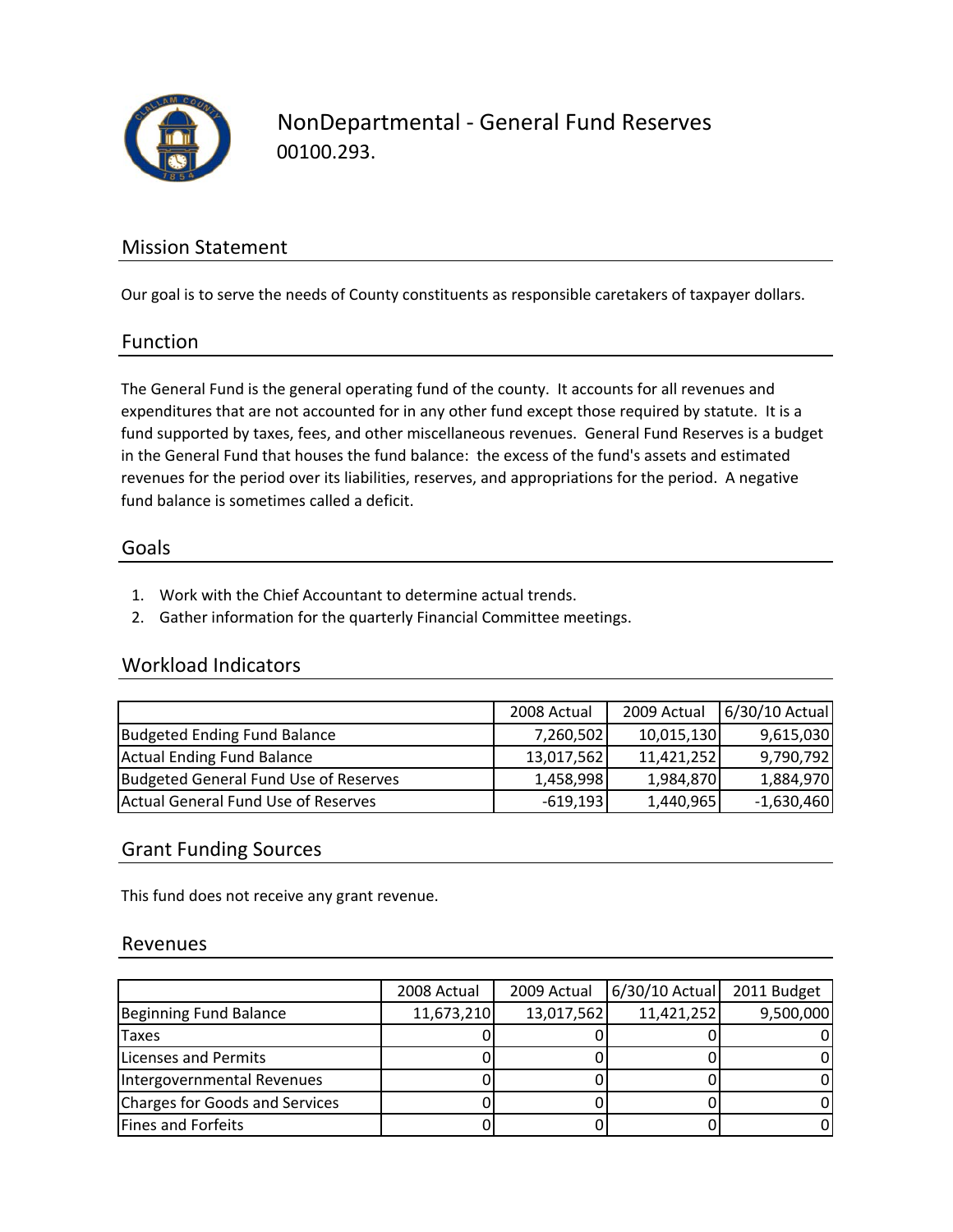

NonDepartmental ‐ General Fund Reserves 00100.293.

## Mission Statement

Our goal is to serve the needs of County constituents as responsible caretakers of taxpayer dollars.

#### Function

The General Fund is the general operating fund of the county. It accounts for all revenues and expenditures that are not accounted for in any other fund except those required by statute. It is a fund supported by taxes, fees, and other miscellaneous revenues. General Fund Reserves is a budget in the General Fund that houses the fund balance: the excess of the fund's assets and estimated revenues for the period over its liabilities, reserves, and appropriations for the period. A negative fund balance is sometimes called a deficit.

#### Goals

- 1. Work with the Chief Accountant to determine actual trends.
- 2. Gather information for the quarterly Financial Committee meetings.

## Workload Indicators

|                                       | 2008 Actual | 2009 Actual | 6/30/10 Actual |
|---------------------------------------|-------------|-------------|----------------|
| Budgeted Ending Fund Balance          | 7,260,502   | 10,015,130  | 9,615,030      |
| <b>Actual Ending Fund Balance</b>     | 13,017,562  | 11,421,252  | 9,790,792      |
| Budgeted General Fund Use of Reserves | 1,458,998   | 1,984,870   | 1,884,970      |
| Actual General Fund Use of Reserves   | $-619,193$  | 1,440,965   | $-1,630,460$   |

## Grant Funding Sources

This fund does not receive any grant revenue.

#### Revenues

|                                | 2008 Actual | 2009 Actual | 6/30/10 Actual 2011 Budget |           |
|--------------------------------|-------------|-------------|----------------------------|-----------|
| Beginning Fund Balance         | 11,673,210  | 13,017,562  | 11,421,252                 | 9,500,000 |
| <b>Taxes</b>                   |             |             |                            |           |
| Licenses and Permits           |             |             |                            |           |
| Intergovernmental Revenues     |             |             |                            |           |
| Charges for Goods and Services |             |             |                            | 0         |
| Fines and Forfeits             |             |             |                            | 0         |